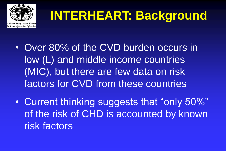

# **INTERHEART: Background**

- Over 80% of the CVD burden occurs in low (L) and middle income countries (MIC), but there are few data on risk factors for CVD from these countries
- Current thinking suggests that "only 50%" of the risk of CHD is accounted by known risk factors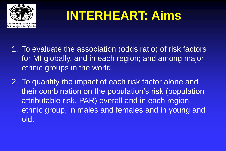

# **INTERHEART: Aims**

- 1. To evaluate the association (odds ratio) of risk factors for MI globally, and in each region; and among major ethnic groups in the world.
- 2. To quantify the impact of each risk factor alone and their combination on the population's risk (population attributable risk, PAR) overall and in each region, ethnic group, in males and females and in young and old.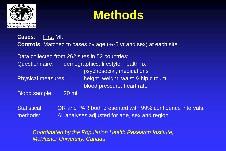

# **Methods**

**Cases**: First MI. **Controls**: Matched to cases by age (+/-5 yr and sex) at each site

Data collected from 262 sites in 52 countries: Questionnaire: demographics, lifestyle, health hx, psychosocial, medications Physical measures: height, weight, waist & hip circum, blood pressure, heart rate

Blood sample: 20 ml

Statistical OR and PAR both presented with 99% confidence intervals. methods: All analyses adjusted for age, sex and region.

*Coordinated by the Population Health Research Institute, McMaster University, Canada*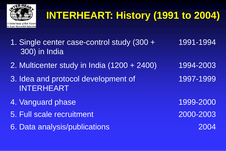

# **INTERHEART: History (1991 to 2004)**

- 1. Single center case-control study (300 + 300) in India 1991-1994
- 2. Multicenter study in India (1200 + 2400) 1994-2003
- 3. Idea and protocol development of INTERHEART 1997-1999
- 4. Vanguard phase 1999-2000
- 5. Full scale recruitment 2000-2003
- 6. Data analysis/publications 2004
-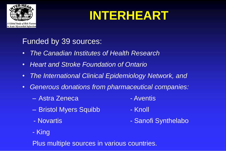

# **INTERHEART**

#### Funded by 39 sources:

- *The Canadian Institutes of Health Research*
- *Heart and Stroke Foundation of Ontario*
- *The International Clinical Epidemiology Network, and*
- *Generous donations from pharmaceutical companies:*
	- Astra Zeneca Aventis
	- Bristol Myers Squibb Knoll
	-
- 
- 
- Novartis **Anti-American Contract Contract Contract Contract Contract Contract Contract Contract Contract Contract Contract Contract Contract Contract Contract Contract Contract Contract Contract Contract Contract Contrac**
- King

Plus multiple sources in various countries.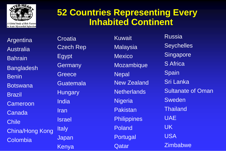

#### **52 Countries Representing Every Inhabited Continent**

**Argentina** Australia **Bahrain Bangladesh** Benin Botswana Brazil **Cameroon** Canada **Chile** China/Hong Kong Colombia

**Croatia** Czech Rep Egypt **Germany Greece Guatemala Hungary** India Iran Israel **Italy** Japan **Kenya** 

Kuwait **Malaysia Mexico** Mozambique **Nepal** New Zealand **Netherlands Nigeria** Pakistan **Philippines** Poland Portugal Qatar

**Russia Seychelles Singapore** S Africa Spain Sri Lanka Sultanate of Oman Sweden Thailand UAE UK USA **Zimbabwe**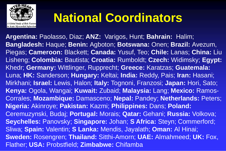

# **National Coordinators**

**Argentina:** Paolasso, Diaz; **ANZ:** Varigos, Hunt; **Bahrain:** Halim; **Bangladesh:** Haque; **Benin:** Agboton; **Botswana:** Onen; **Brazil:** Avezum, Piegas; **Cameroon:** Blackett; **Canada:** Yusuf, Teo; **Chile:** Lanas; **China:** Liu Lisheng; **Colombia:** Bautista; **Croatia:** Rumboldt; **Czech:** Widimsky; **Egypt:**  Khedr; **Germany:** Wittlinger, Rupprecht; **Greece:** Karatzas; **Guatemala:**  Luna; **HK:** Sanderson; **Hungary:** Keltai; **India:** Reddy, Pais; **Iran:** Hasani; Mirkhani; **Israel:** Lewis, Halon; **Italy:** Tognoni, Franzosi; **Japan:** Hori, Sato; **Kenya:** Ogola, Wangai; **Kuwait:** Zubaid; **Malaysia:** Lang; **Mexico:** Ramos-Corrales; **Mozambique:** Damasceno; **Nepal:** Pandey; **Netherlands:** Peters; **Nigeria:** Akinroye; **Pakistan:** Kazmi; **Philippines:** Dans; **Poland:**  Ceremuzynski, Budaj; **Portugal:** Morais; **Qatar:** Gehani; **Russia:** Volkova; **Seychelles:** Panovsky; **Singapore:** Johan; **S Africa:** Steyn; Commerford; Sliwa; **Spain:** Valentin; **S Lanka:** Mendis, Jayalath; **Oman:** Al Hinai; **Sweden:** Rosengren; **Thailand:** Sitthi-Amorn; **UAE:** Almahmeed; **UK:** Fox, Flather; **USA:** Probstfield; **Zimbabwe:** Chifamba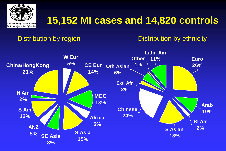

### **15,152 MI cases and 14,820 controls**

#### Distribution by region Distribution by ethnicity

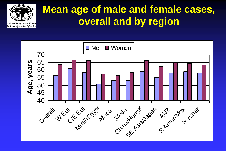

### **Mean age of male and female cases, overall and by region**

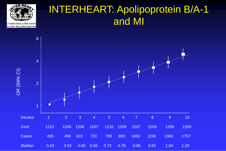

#### INTERHEART: Apolipoprotein B/A-1 and MI

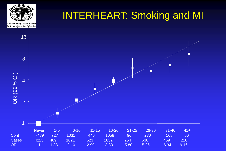

#### INTERHEART: Smoking and MI

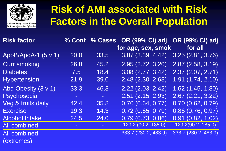

### **Risk of AMI associated with Risk Factors in the Overall Population**

| <b>Risk factor</b>    |                | <b>% Cont % Cases</b> | <b>OR (99% CI) adj</b> | <b>OR (99% CI) adj</b>           |
|-----------------------|----------------|-----------------------|------------------------|----------------------------------|
|                       |                |                       | for age, sex, smok     | for all                          |
| ApoB/ApoA-1 $(5 v 1)$ | 20.0           | 33.5                  | 3.87(3.39, 4.42)       | 3.25(2.81, 3.76)                 |
| <b>Curr smoking</b>   | 26.8           | 45.2                  | 2.95(2.72, 3.20)       | 2.87(2.58, 3.19)                 |
| <b>Diabetes</b>       | 7.5            | 18.4                  | 3.08(2.77, 3.42)       | 2.37(2.07, 2.71)                 |
| <b>Hypertension</b>   | 21.9           | 39.0                  | 2.48 (2.30, 2.68)      | 1.91(1.74, 2.10)                 |
| Abd Obesity (3 v 1)   | 33.3           | 46.3                  | $2.22$ (2.03, 2.42)    | $1.\overline{62}$ $(1.45, 1.80)$ |
| <b>Psychosocial</b>   | $\blacksquare$ | $\sim$                | $2.51$ (2.15, 2.93)    | 2.67(2.21, 3.22)                 |
| Veg & fruits daily    | 42.4           | 35.8                  | 0.70(0.64, 0.77)       | 0.70(0.62, 0.79)                 |
| <b>Exercise</b>       | 19.3           | 14.3                  | 0.72(0.65, 0.79)       | 0.86(0.76, 0.97)                 |
| <b>Alcohol Intake</b> | 24.5           | 24.0                  | 0.79(0.73, 0.86)       | 0.91(0.82, 1.02)                 |
| <b>All combined</b>   | $\blacksquare$ | $\blacksquare$        | 129.2 (90.2, 185.0)    | 129.2(90.2, 185.0)               |
| <b>All combined</b>   |                |                       | 333.7 (230.2, 483.9)   | 333.7 (230.2, 483.9)             |
| (extremes)            |                |                       |                        |                                  |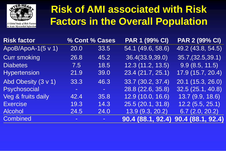

### **Risk of AMI associated with Risk Factors in the Overall Population**

| Risk factor         |      | % Cont % Cases | <b>PAR 1 (99% CI)</b> | <b>PAR 2 (99% CI)</b> |
|---------------------|------|----------------|-----------------------|-----------------------|
| ApoB/ApoA-1(5 v 1)  | 20.0 | 33.5           | [54.1 (49.6, 58.6)]   | 49.2 (43.8, 54.5)     |
| <b>Curr smoking</b> | 26.8 | 45.2           | 36.4(33.9,39.0)       | 35.7,(32.5,39.1)      |
| <b>Diabetes</b>     | 7.5  | 18.5           | 12.3(11.2, 13.5)      | 9.9(8.5, 11.5)        |
| <b>Hypertension</b> | 21.9 | 39.0           | 23.4(21.7, 25.1)      | 17.9 (15.7, 20.4)     |
| Abd Obesity (3 v 1) | 33.3 | 46.3           | 33.7 (30.2, 37.4)     | 20.1 (15.3, 26.0)     |
| Psychosocial        | ÷,   | $\equiv$       | 28.8 (22.6, 35.8)     | 32.5(25.1, 40.8)      |
| Veg & fruits daily  | 42.4 | 35.8           | 12.9 (10.0, 16.6)     | 13.7(9.9, 18.6)       |
| <b>Exercise</b>     | 19.3 | 14.3           | 25.5(20.1, 31.8)      | 12.2(5.5, 25.1)       |
| <b>Alcohol</b>      | 24.5 | 24.0           | 13.9(9.3, 20.2)       | 6.7(2.0, 20.2)        |
| <b>Combined</b>     |      | $\blacksquare$ | 90.4 (88.1, 92.4)     | 90.4 (88.1, 92.4)     |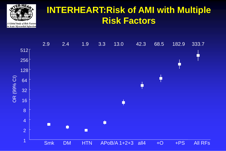

#### **INTERHEART:Risk of AMI with Multiple Risk Factors**

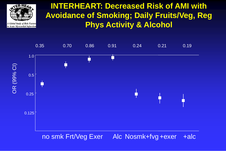

#### **INTERHEART: Decreased Risk of AMI with Avoidance of Smoking; Daily Fruits/Veg, Reg Phys Activity & Alcohol**

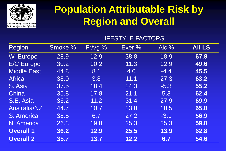

### **Population Attributable Risk by Region and Overall**

#### LIFESTYLE FACTORS

| Region              | Smoke % | Fr/vg % | Exer % | Alc %  | <b>AII LS</b> |
|---------------------|---------|---------|--------|--------|---------------|
| W. Europe           | 28.9    | 12.9    | 38.8   | 18.9   | 67.8          |
| <b>E/C Europe</b>   | 30.2    | 10.2    | 11.3   | 12.9   | 49.6          |
| <b>Middle East</b>  | 44.8    | 8.1     | 4.0    | $-4.4$ | 45.5          |
| <b>Africa</b>       | 38.0    | 3.8     | 11.1   | 27.3   | 63.2          |
| S. Asia             | 37.5    | 18.4    | 24.3   | $-5.3$ | 55.2          |
| China               | 35.8    | 17.8    | 21.1   | 5.3    | 62.4          |
| S.E. Asia           | 36.2    | 11.2    | 31.4   | 27.9   | 69.9          |
| <b>Australia/NZ</b> | 44.7    | 10.7    | 23.8   | 18.5   | 65.8          |
| S. America          | 38.5    | 6.7     | 27.2   | $-3.1$ | 56.9          |
| N. America          | 26.3    | 19.8    | 25.3   | 25.3   | 59.8          |
| <b>Overall 1</b>    | 36.2    | 12.9    | 25.5   | 13.9   | 62.8          |
| <b>Overall 2</b>    | 35.7    | 13.7    | 12.2   | 6.7    | 54.6          |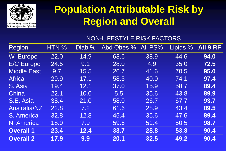

### **Population Attributable Risk by Region and Overall**

#### NON-LIFESTYLE RISK FACTORS

| Region              | HTN % | Diab %           | Abd Obes %       | All PS% | Lipids % | All 9 RF |
|---------------------|-------|------------------|------------------|---------|----------|----------|
| W. Europe           | 22.0  | 14.9             | 63.6             | 38.9    | 44.6     | 94.0     |
| <b>E/C Europe</b>   | 24.5  | 9.1              | 28.0             | 4.9     | 35.0     | 72.5     |
| <b>Middle East</b>  | 9.7   | 15.5             | 26.7             | 41.6    | 70.5     | 95.0     |
| <b>Africa</b>       | 29.9  | 17.1             | 58.3             | 40.0    | 74.1     | 97.4     |
| S. Asia             | 19.4  | 12.1             | 37.0             | 15.9    | 58.7     | 89.4     |
| China               | 22.1  | 10.0             | 5.5 <sub>1</sub> | 35.6    | 43.8     | 89.9     |
| S.E. Asia           | 38.4  | 21.0             | 58.0             | 26.7    | 67.7     | 93.7     |
| <b>Australia/NZ</b> | 22.8  | $\overline{7.2}$ | 61.6             | 28.9    | 43.4     | 89.5     |
| S. America          | 32.8  | 12.8             | 45.4             | 35.6    | 47.6     | 89.4     |
| N. America          | 18.9  | 7.9              | 59.6             | 51.4    | 50.5     | 98.7     |
| <b>Overall 1</b>    | 23.4  | 12.4             | 33.7             | 28.8    | 53.8     | 90.4     |
| <b>Overall 2</b>    | 17.9  | 9.9              | 20.1             | 32.5    | 49.2     | 90.4     |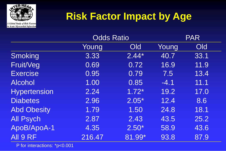

### **Risk Factor Impact by Age**

|                     | <b>Odds Ratio</b> |            |        | <b>PAR</b>                |  |
|---------------------|-------------------|------------|--------|---------------------------|--|
|                     | Young             | <b>Old</b> | Young  | $\overline{\textsf{Old}}$ |  |
| Smoking             | 3.33              | $2.44*$    | 40.7   | 33.1                      |  |
| Fruit/Veg           | 0.69              | 0.72       | 16.9   | 11.9                      |  |
| <b>Exercise</b>     | 0.95              | 0.79       | 7.5    | 13.4                      |  |
| <b>Alcohol</b>      | 1.00              | 0.85       | $-4.1$ | 11.1                      |  |
| <b>Hypertension</b> | 2.24              | $1.72*$    | 19.2   | 17.0                      |  |
| <b>Diabetes</b>     | 2.96              | $2.05*$    | 12.4   | 8.6                       |  |
| <b>Abd Obesity</b>  | 1.79              | 1.50       | 24.8   | 18.1                      |  |
| <b>All Psych</b>    | 2.87              | 2.43       | 43.5   | 25.2                      |  |
| ApoB/ApoA-1         | 4.35              | $2.50*$    | 58.9   | 43.6                      |  |
| All 9 RF            | 216.47            | 81.99*     | 93.8   | 87.9                      |  |

P for interactions: \*p<0.001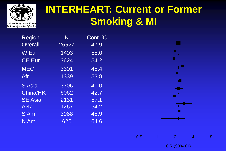

### **INTERHEART: Current or Former Smoking & MI**

| <b>Overall</b><br>47.9<br>26527<br>W Eur<br>1403<br>55.0 | Region         | N    | Cont. % |
|----------------------------------------------------------|----------------|------|---------|
|                                                          |                |      |         |
|                                                          |                |      |         |
| 3624<br>54.2                                             | <b>CE Eur</b>  |      |         |
|                                                          | <b>MEC</b>     | 3301 | 45.4    |
|                                                          | Afr            | 1339 | 53.8    |
|                                                          | <b>S</b> Asia  | 3706 | 41.0    |
|                                                          | China/HK       | 6062 | 42.7    |
|                                                          | <b>SE Asia</b> | 2131 | 57.1    |
|                                                          | <b>ANZ</b>     | 1267 | 54.2    |
|                                                          | S Am           | 3068 | 48.9    |
|                                                          | $N$ Am         | 626  | 64.6    |
|                                                          |                |      |         |
|                                                          |                |      |         |
|                                                          |                |      |         |
|                                                          |                |      |         |



OR (99% CI)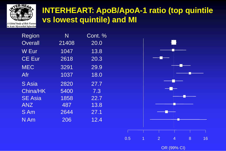

#### **INTERHEART: ApoB/ApoA-1 ratio (top quintile vs lowest quintile) and MI**

Region N Cont. % Overall 21408 20.0 W Eur 1047 13.8 CE Eur 2618 20.3 MEC 3291 29.9 Afr 1037 18.0 S Asia 2820 27.7 China/HK 5400 7.3 SE Asia  $1858$  22.7 ANZ 487 13.8 S Am 2644 27.1 N Am 206 12.4

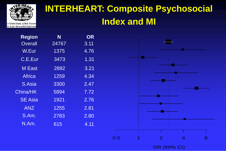

#### **INTERHEART: Composite Psychosocial Index and MI**

| N     | <b>OR</b> |  |
|-------|-----------|--|
| 24767 | 3.11      |  |
| 1375  | 4.76      |  |
| 3473  | 1.31      |  |
| 2892  | 3.21      |  |
| 1259  | 4.34      |  |
| 3300  | 2.47      |  |
| 5894  | 7.72      |  |
| 1921  | 2.76      |  |
| 1255  | 2.81      |  |
| 2783  | 2.80      |  |
| 615   | 4.11      |  |
|       |           |  |

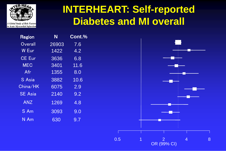

#### **INTERHEART: Self-reported Diabetes and MI overall**

| Region            | N     | Cont.% |
|-------------------|-------|--------|
| Overall           | 26903 | 7.6    |
| W Eur             | 1422  | 4.2    |
| <b>CE Eur</b>     | 3636  | 6.8    |
| <b>MEC</b>        | 3401  | 11.6   |
| Afr               | 1355  | 8.0    |
| S Asia            | 3882  | 10.6   |
| China/HK          | 6075  | 2.9    |
| <b>SE Asia</b>    | 2140  | 9.2    |
| <b>ANZ</b>        | 1269  | 4.8    |
| $\overline{S}$ Am | 3093  | 9.0    |
| N Am              | 630   | 9.7    |

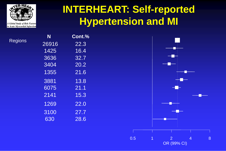

Regi

### **INTERHEART: Self-reported Hypertension and MI**

|     | N     | Cont.% |
|-----|-------|--------|
| ons | 26916 | 22.3   |
|     | 1425  | 16.4   |
|     | 3636  | 32.7   |
|     | 3404  | 20.2   |
|     | 1355  | 21.6   |
|     | 3881  | 13.8   |
|     | 6075  | 21.1   |
|     | 2141  | 15.3   |
|     | 1269  | 22.0   |
|     | 3100  | 27.7   |
|     | 630   | 28.6   |

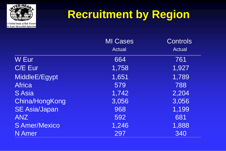

# **Recruitment by Region**

|                      | <b>MI Cases</b> | <b>Controls</b> |
|----------------------|-----------------|-----------------|
|                      | <b>Actual</b>   | <b>Actual</b>   |
| W Eur                | 664             | 761             |
| C/E Eur              | 1,758           | 1,927           |
| MiddleE/Egypt        | 1,651           | 1,789           |
| <b>Africa</b>        | 579             | 788             |
| S Asia               | 1,742           | 2,204           |
| China/HongKong       | 3,056           | 3,056           |
| <b>SE Asia/Japan</b> | 968             | 1,199           |
| <b>ANZ</b>           | 592             | 681             |
| S Amer/Mexico        | 1,246           | 1,888           |
| <b>N</b> Amer        | 297             | 340             |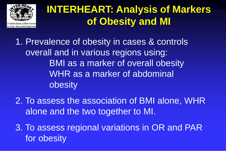

### **INTERHEART: Analysis of Markers of Obesity and MI**

1. Prevalence of obesity in cases & controls overall and in various regions using: BMI as a marker of overall obesity WHR as a marker of abdominal obesity

2. To assess the association of BMI alone, WHR alone and the two together to MI.

3. To assess regional variations in OR and PAR for obesity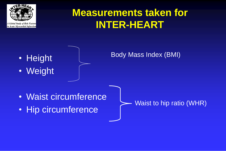

### **Measurements taken for INTER-HEART**



• Weight

Body Mass Index (BMI)

- Waist circumference
- Hip circumference

Waist to hip ratio (WHR)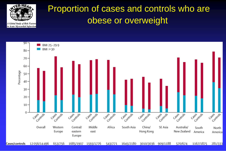

#### Proportion of cases and controls who are obese or overweight



12056/14496 653/756 1685/1907 1593/1776 1645/2180 3010/3036 909/1188 570/674 1167/1875 281/333 Cases/controls 543/771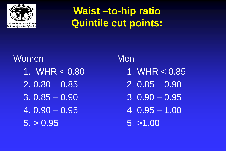

### **Waist –to-hip ratio Quintile cut points:**

## **Women** 1. WHR < 0.80  $2.0.80 - 0.85$ 3. 0.85 – 0.90 4. 0.90 – 0.95  $5. > 0.95$

Men 1. WHR < 0.85 2. 0.85 – 0.90 3. 0.90 – 0.95 4. 0.95 – 1.00 5. >1.00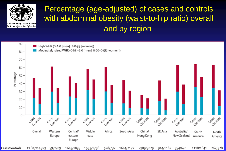

#### Percentage (age-adjusted) of cases and controls with abdominal obesity (waist-to-hip ratio) overall and by region

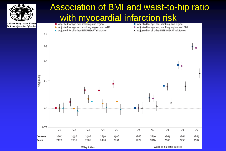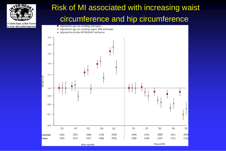

in Acute Myocardial Infarction

#### Risk of MI associated with increasing waist circumference and hip circumference

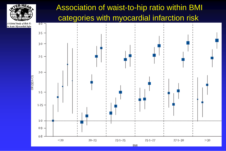#### Association of waist-to-hip ratio within BMI categories with myocardial infarction risk



A Global Study of Risk Fe in Acute Myocardial Infar

**TER-HEA**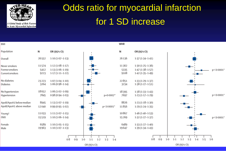

### Odds ratio for myocardial infarction for 1 SD increase

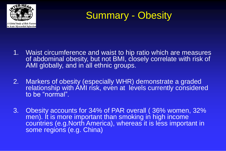



- 1. Waist circumference and waist to hip ratio which are measures of abdominal obesity, but not BMI, closely correlate with risk of AMI globally, and in all ethnic groups.
- 2. Markers of obesity (especially WHR) demonstrate a graded relationship with AMI risk, even at levels currently considered to be "normal".
- 3. Obesity accounts for 34% of PAR overall ( 36% women, 32% men). It is more important than smoking in high income countries (e.g.North America), whereas it is less important in some regions (e.g. China)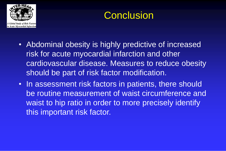



- Abdominal obesity is highly predictive of increased risk for acute myocardial infarction and other cardiovascular disease. Measures to reduce obesity should be part of risk factor modification.
- In assessment risk factors in patients, there should be routine measurement of waist circumference and waist to hip ratio in order to more precisely identify this important risk factor.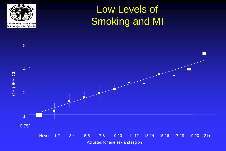

### Low Levels of Smoking and MI

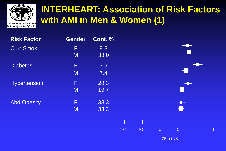

#### **INTERHEART: Association of Risk Factors with AMI in Men & Women (1)**

A Global Study of Risk Factors in Acute Myocardial Infarction

| <b>Risk Factor</b> | <b>Gender</b> | Cont. %      |      |     |   |                |                |   |
|--------------------|---------------|--------------|------|-----|---|----------------|----------------|---|
| <b>Curr Smok</b>   | F<br>M        | 9.3<br>33.0  |      |     |   |                |                |   |
| <b>Diabetes</b>    | F<br>M        | 7.9<br>7.4   |      |     |   |                |                |   |
| Hypertension       | F<br>M        | 28.3<br>19.7 |      |     |   | i i            | $-$            |   |
| <b>Abd Obesity</b> | F<br>M        | 33.3<br>33.3 |      |     |   | $-$<br>Ł       |                |   |
|                    |               |              | 0.25 | 0.5 | 1 | $\overline{2}$ | $\overline{4}$ | 8 |

OR (99% CI)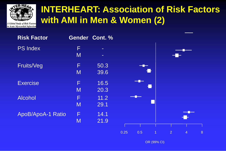

#### **INTERHEART: Association of Risk Factors with AMI in Men & Women (2)** Risk factors by sex

A Global Study of Risk Factors in Acute Myocardial Infarction

| <b>Risk Factor</b> |        | Gender Cont. %          |     |  |
|--------------------|--------|-------------------------|-----|--|
| <b>PS Index</b>    | F<br>M | $\frac{1}{2}$<br>$\sim$ |     |  |
| Fruits/Veg         | F<br>M | 50.3<br>39.6            | 1 H |  |
| <b>Exercise</b>    | F<br>M | 16.5<br>20.3            | 11  |  |
| <b>Alcohol</b>     | F<br>M | 11.2<br>29.1            |     |  |
| ApoB/ApoA-1 Ratio  | F<br>M | 14.1<br>21.9            |     |  |

0.25 0.5 1 2 4 8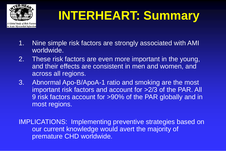

# **INTERHEART: Summary**

- 1. Nine simple risk factors are strongly associated with AMI worldwide.
- 2. These risk factors are even more important in the young, and their effects are consistent in men and women, and across all regions.
- 3. Abnormal Apo-B/ApoA-1 ratio and smoking are the most important risk factors and account for >2/3 of the PAR. All 9 risk factors account for >90% of the PAR globally and in most regions.

IMPLICATIONS: Implementing preventive strategies based on our current knowledge would avert the majority of premature CHD worldwide.